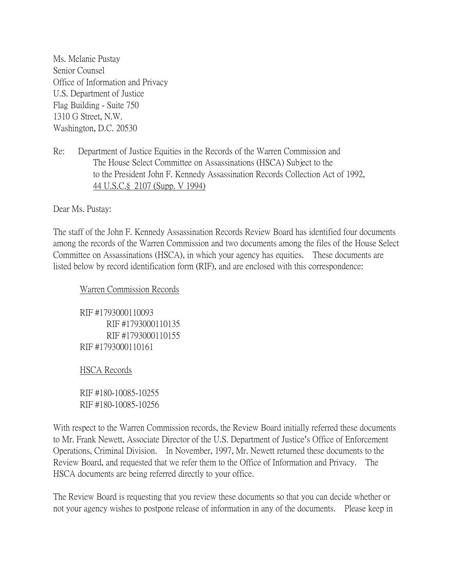Ms. Melanie Pustay Senior Counsel Office of Information and Privacy U.S. Department of Justice Flag Building - Suite 750 1310 G Street, N.W. Washington, D.C. 20530

## Re: Department of Justice Equities in the Records of the Warren Commission and The House Select Committee on Assassinations (HSCA) Subject to the to the President John F. Kennedy Assassination Records Collection Act of 1992, 44 U.S.C.§ 2107 (Supp. V 1994)

Dear Ms. Pustay:

The staff of the John F. Kennedy Assassination Records Review Board has identified four documents among the records of the Warren Commission and two documents among the files of the House Select Committee on Assassinations (HSCA), in which your agency has equities. These documents are listed below by record identification form (RIF), and are enclosed with this correspondence:

Warren Commission Records

RIF #1793000110093 RIF #1793000110135 RIF #1793000110155 RIF #1793000110161

HSCA Records

RIF #180-10085-10255 RIF #180-10085-10256

With respect to the Warren Commission records, the Review Board initially referred these documents to Mr. Frank Newett, Associate Director of the U.S. Department of Justice's Office of Enforcement Operations, Criminal Division. In November, 1997, Mr. Newett returned these documents to the Review Board, and requested that we refer them to the Office of Information and Privacy. The HSCA documents are being referred directly to your office.

The Review Board is requesting that you review these documents so that you can decide whether or not your agency wishes to postpone release of information in any of the documents. Please keep in